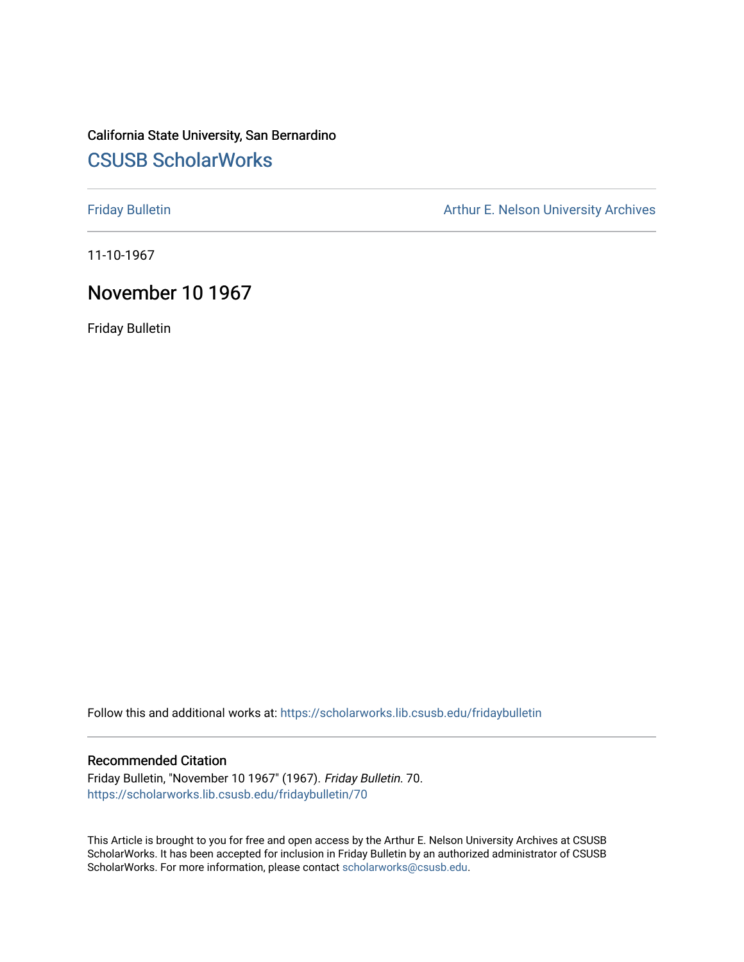# California State University, San Bernardino [CSUSB ScholarWorks](https://scholarworks.lib.csusb.edu/)

[Friday Bulletin](https://scholarworks.lib.csusb.edu/fridaybulletin) **Arthur E. Nelson University Archives** Arthur E. Nelson University Archives

11-10-1967

## November 10 1967

Friday Bulletin

Follow this and additional works at: [https://scholarworks.lib.csusb.edu/fridaybulletin](https://scholarworks.lib.csusb.edu/fridaybulletin?utm_source=scholarworks.lib.csusb.edu%2Ffridaybulletin%2F70&utm_medium=PDF&utm_campaign=PDFCoverPages)

### Recommended Citation

Friday Bulletin, "November 10 1967" (1967). Friday Bulletin. 70. [https://scholarworks.lib.csusb.edu/fridaybulletin/70](https://scholarworks.lib.csusb.edu/fridaybulletin/70?utm_source=scholarworks.lib.csusb.edu%2Ffridaybulletin%2F70&utm_medium=PDF&utm_campaign=PDFCoverPages) 

This Article is brought to you for free and open access by the Arthur E. Nelson University Archives at CSUSB ScholarWorks. It has been accepted for inclusion in Friday Bulletin by an authorized administrator of CSUSB ScholarWorks. For more information, please contact [scholarworks@csusb.edu.](mailto:scholarworks@csusb.edu)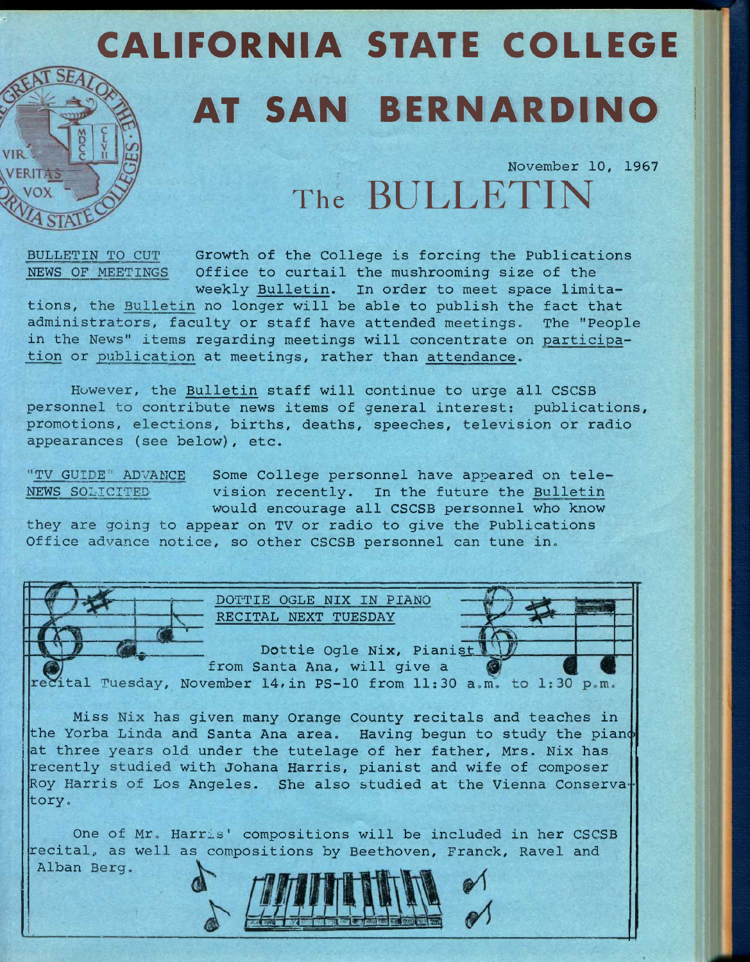# CALIFORNIA STATE COLLEGE AT SAN BERNARDINO

**November 10, 1967** 

The **BULLETIN** 

**BULLETIN TO CUT Growth of the College is forcing the Publications NEWS OF MEETINGS Office to curtail the mushrooming size of the Weekly Bulletin. In order to meet space limita-**

**tions, the Bulletin no longer will be able to publish the fact that administrators, faculty or staff have attended meetings. The "People in the News" items regarding meetings will concentrate on participation or publication at meetings, rather than attendance.** 

**However, the Bulletin staff will continue to urge all CSCSB personnel to contribute news items of general interest: publications, promotions, elections, births, deaths, speeches, television or radio appearances (see below), etc.** 

**"TV GUIDE" ADVANCE Some College personnel have appeared on tele-NEWS SOLICITED vision recently. In the future the Bulletin would encourage all CSCSB personnel who know** 

**they are going to appear on TV or radio to give the Publications Office advance notice, so other CSCSB personnel can tune in.** 

> **DOTTIE OGLE NIX IN PIANO RECITAL NEXT TUESDAY**

**Dottie Ogle Nix, Pianisi from Santa Ana, will give a** 

ital Tuesday, November 14, in PS-10 from 11:30 a.m. to 1:30 p.m.

**Miss Nix has given many Orange County recitals and teaches in**  the Yorba Linda and Santa Ana area. Having begun to study the piano **at three years old under the tutelage of her father, Mrs. Nix has recently studied with Johana Harris, pianist and wife of composer Roy Harris of Los Angeles. She also studied at the Vienna Conserva tory.** 

**One of Mr. Harris' compositions will be included in her CSCSB**  recital, as well as compositions by Beethoven, Franck, Ravel and **Alban Berg.** 

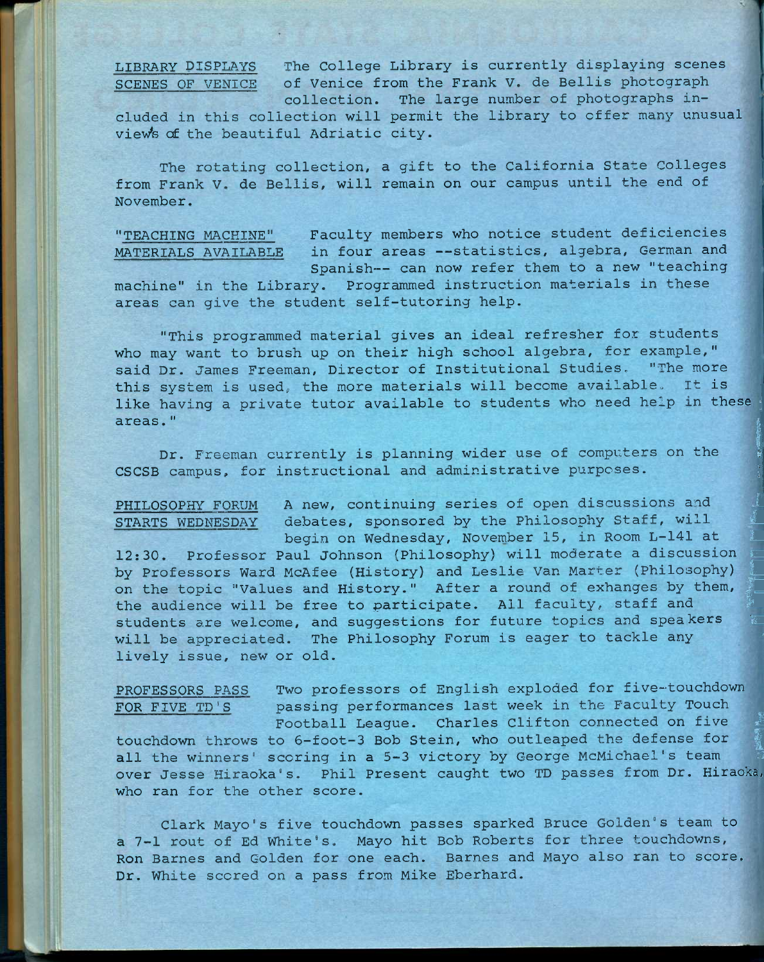**LIBRARY DISPLAYS The College Library is currently displaying scenes SCENES OF VENICE of Venice from the Frank V. de Bellis photograph collection. The large number of photographs in-**

**cluded in this collection will permit the library to offer many unusual view's of the beautiful Adriatic city.** 

**The rotating collection, a gift to the California State Colleges from Frank V. de Bellis, will remain on our campus until the end of November.** 

**"TEACHING MACHINE" Faculty members who notice student deficiencies MATERIALS AVAILABLE in four areas --statistics, algebra, German and Spanish-— can now refer them to a new "teaching machine" in the Library. Programmed instruction materials in these areas can give the student self-tutoring help.** 

**"This programmed material gives an ideal refresher for students who may want to brush up on their high school algebra, for example," said Dr. James Freeman, Director of Institutional Studies, "The more this system is used;, the more materials will become available. It is**  like having a private tutor available to students who need help in these **areas." i** 

Dr. Freeman currently is planning wider use of computers on the **CSCSB campus, for instructional and administrative purposes. ;** 

PHILOSOPHY FORUM A new, continuing series of open discussions and STARTS WEDNESDAY debates, sponsored by the Philosophy Staff, will<br>begin on Wednesday, November 15, in Room L-141 at<br>19.30 Professor Paul Johnson (Philosophy) will moderate a discussion 12:30. Professor Paul Johnson (Philosophy) will moderate a discussion by Professors Ward McAfee (History) and Leslie Van Marter (Philosophy) on the topic "Values and History." After a round of exhanges by them, the audience will be free to participate. All faculty, staff and students are welcome, and suggestions for future topics and speakers will be appreciated. The Philosophy Forum is eager to tackle any **lively issue, new or old.** 

**PROFESSORS PASS Two professors of English exploded for five-touchdown FOR FIVE TD'S passing performances last week in the Faculty Touch** 

 $\mathbf{E}$ ଷ୍

Football League. Charles Clifton connected on five **touchdown throws to 6-foot-3 Bob Stein, who outleaped the defense for ^**  all the winners' scoring in a 5-3 victory by George McMichael's team **over Jesse Hiraoka's. Phil Present caught two TD passes from Dr. Hiraoka, who ran for the other score.** 

**Clark Mayo's five touchdown passes sparked Bruce Golden's team to a 7-1 rout of Ed White's. Mayo hit Bob Roberts for three touchdowns, Ron Barnes and Golden for one each. Barnes and Mayo also ran to score. Dr. White scored on a pass from Mike Eberhard.**